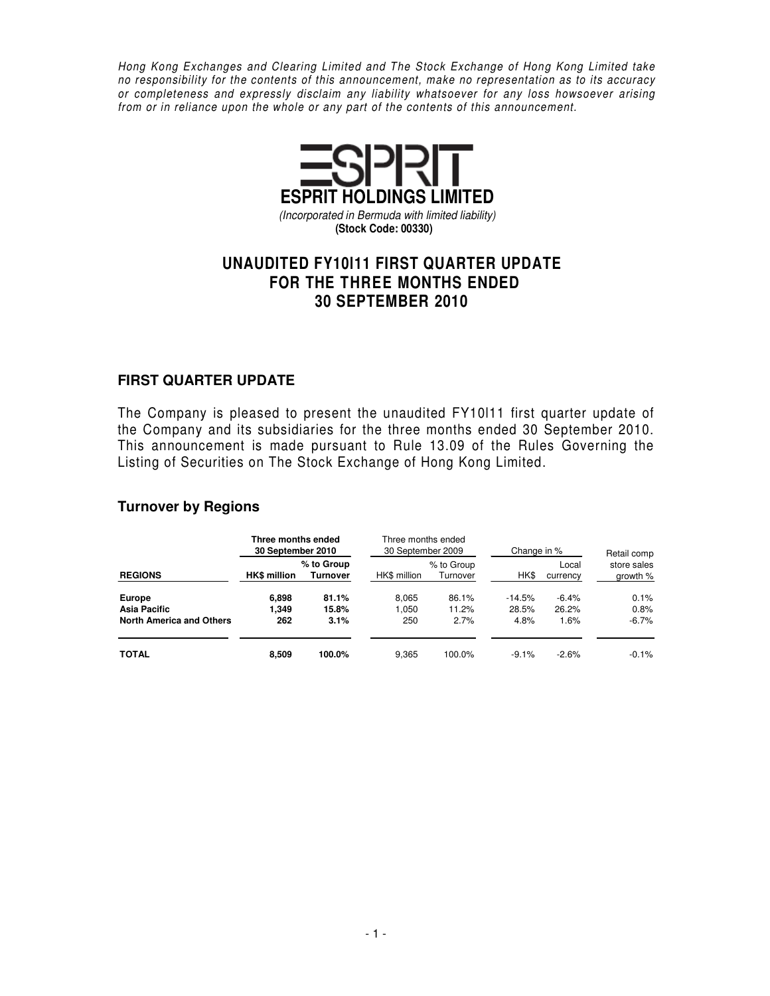Hong Kong Exchanges and Clearing Limited and The Stock Exchange of Hong Kong Limited take no responsibility for the contents of this announcement, make no representation as to its accuracy or completeness and expressly disclaim any liability whatsoever for any loss howsoever arising from or in reliance upon the whole or any part of the contents of this announcement.



# **UNAUDITED FY10l11 FIRST QUARTER UPDATE FOR THE THREE MONTHS ENDED 30 SEPTEMBER 2010**

#### **FIRST QUARTER UPDATE**

The Company is pleased to present the unaudited FY10l11 first quarter update of the Company and its subsidiaries for the three months ended 30 September 2010. This announcement is made pursuant to Rule 13.09 of the Rules Governing the Listing of Securities on The Stock Exchange of Hong Kong Limited.

#### **Turnover by Regions**

|                                 | Three months ended<br>30 September 2010 |                               | Three months ended<br>30 September 2009 |                        | Change in %       | Retail comp       |                           |
|---------------------------------|-----------------------------------------|-------------------------------|-----------------------------------------|------------------------|-------------------|-------------------|---------------------------|
| <b>REGIONS</b>                  | <b>HK\$</b> million                     | % to Group<br><b>Turnover</b> | HK\$ million                            | % to Group<br>Turnover | HK\$              | Local<br>currency | store sales<br>growth $%$ |
| Europe<br>Asia Pacific          | 6.898<br>1.349                          | 81.1%<br>15.8%                | 8.065<br>1.050                          | 86.1%<br>11.2%         | $-14.5%$<br>28.5% | $-6.4%$<br>26.2%  | 0.1%<br>0.8%              |
| <b>North America and Others</b> | 262                                     | 3.1%                          | 250                                     | 2.7%                   | 4.8%              | 1.6%              | $-6.7%$                   |
| <b>TOTAL</b>                    | 8,509                                   | 100.0%                        | 9.365                                   | 100.0%                 | $-9.1%$           | $-2.6%$           | $-0.1\%$                  |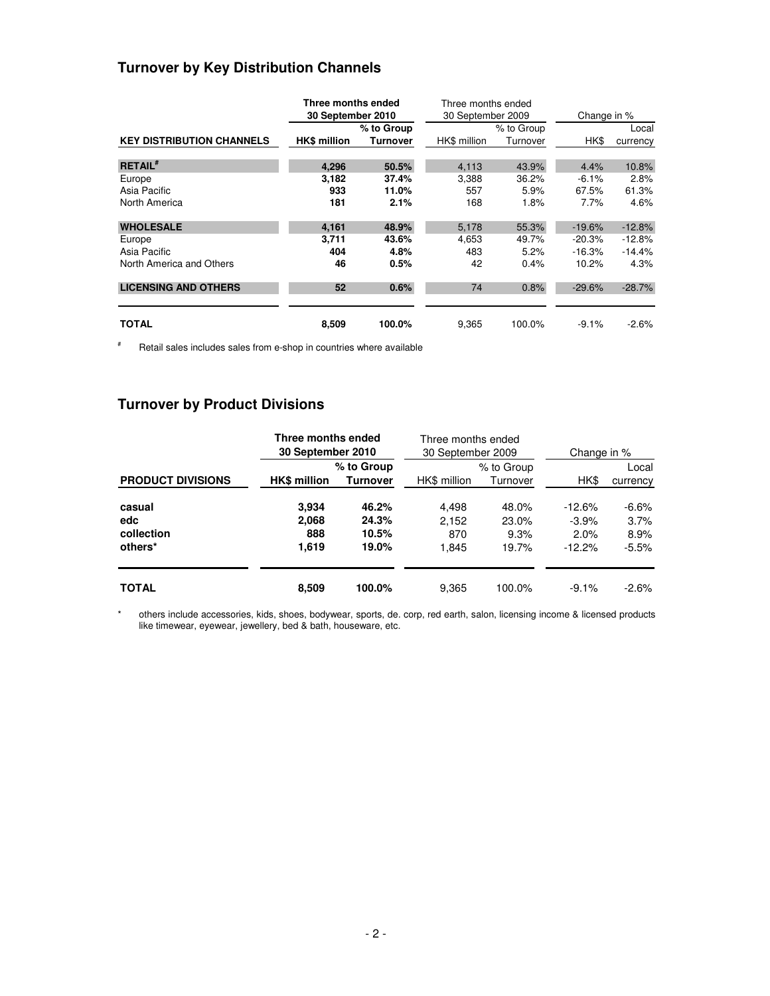## **Turnover by Key Distribution Channels**

|                                  | Three months ended  |            | Three months ended |            |             |          |  |
|----------------------------------|---------------------|------------|--------------------|------------|-------------|----------|--|
|                                  | 30 September 2010   |            | 30 September 2009  |            | Change in % |          |  |
|                                  |                     | % to Group |                    | % to Group |             | Local    |  |
| <b>KEY DISTRIBUTION CHANNELS</b> | <b>HK\$ million</b> | Turnover   | HK\$ million       | Turnover   | HK\$        | currency |  |
| <b>RETAIL</b> #                  | 4,296               | 50.5%      | 4,113              | 43.9%      | 4.4%        | 10.8%    |  |
| Europe                           | 3,182               | 37.4%      | 3,388              | 36.2%      | $-6.1%$     | 2.8%     |  |
| Asia Pacific                     | 933                 | 11.0%      | 557                | 5.9%       | 67.5%       | 61.3%    |  |
| North America                    | 181                 | 2.1%       | 168                | 1.8%       | 7.7%        | 4.6%     |  |
| <b>WHOLESALE</b>                 | 4.161               | 48.9%      | 5,178              | 55.3%      | $-19.6%$    | $-12.8%$ |  |
| Europe                           | 3,711               | 43.6%      | 4,653              | 49.7%      | $-20.3%$    | $-12.8%$ |  |
| Asia Pacific                     | 404                 | 4.8%       | 483                | 5.2%       | $-16.3%$    | $-14.4%$ |  |
| North America and Others         | 46                  | 0.5%       | 42                 | 0.4%       | 10.2%       | 4.3%     |  |
| <b>LICENSING AND OTHERS</b>      | 52                  | 0.6%       | 74                 | 0.8%       | $-29.6%$    | $-28.7%$ |  |
| TOTAL                            | 8,509               | 100.0%     | 9,365              | 100.0%     | $-9.1%$     | $-2.6\%$ |  |

# Retail sales includes sales from e-shop in countries where available

## **Turnover by Product Divisions**

|                          | Three months ended<br>30 September 2010 |                               | Three months ended<br>30 September 2009 |                        | Change in % |                   |  |
|--------------------------|-----------------------------------------|-------------------------------|-----------------------------------------|------------------------|-------------|-------------------|--|
| <b>PRODUCT DIVISIONS</b> | <b>HK\$</b> million                     | % to Group<br><b>Turnover</b> | HK\$ million                            | % to Group<br>Turnover | HK\$        | Local<br>currency |  |
| casual                   | 3.934                                   | 46.2%                         | 4.498                                   | 48.0%                  | $-12.6%$    | $-6.6%$           |  |
| edc                      | 2,068                                   | 24.3%                         | 2,152                                   | 23.0%                  | $-3.9%$     | 3.7%              |  |
| collection               | 888                                     | 10.5%                         | 870                                     | 9.3%                   | 2.0%        | 8.9%              |  |
| others*                  | 1,619                                   | 19.0%                         | 1,845                                   | 19.7%                  | $-12.2%$    | $-5.5%$           |  |
| <b>TOTAL</b>             | 8,509                                   | 100.0%                        | 9,365                                   | 100.0%                 | $-9.1%$     | $-2.6%$           |  |

\* others include accessories, kids, shoes, bodywear, sports, de. corp, red earth, salon, licensing income & licensed products like timewear, eyewear, jewellery, bed & bath, houseware, etc.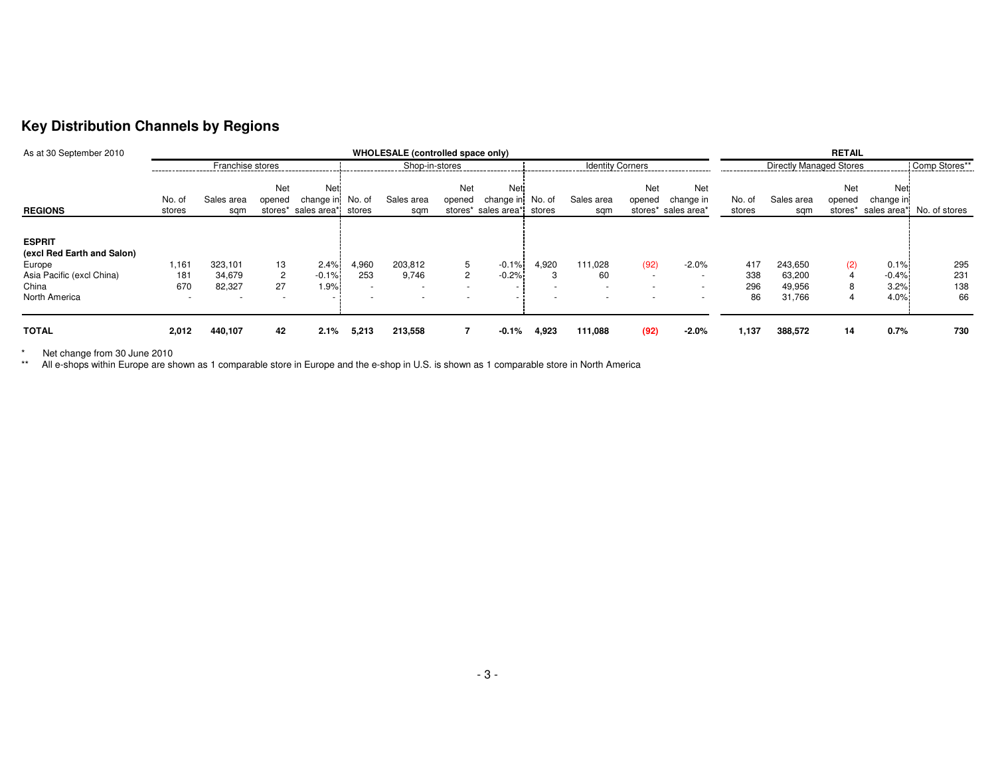### **Key Distribution Channels by Regions**

| As at 30 September 2010                                                                                      |                                                 | WHOLESALE (controlled space only) |                                      |                                                |                                                                      |                                                        |                      |                                                        |        |                                                                       | <b>RETAIL</b>                              |                                                                                             |                         |                                       |               |                                 |                                   |
|--------------------------------------------------------------------------------------------------------------|-------------------------------------------------|-----------------------------------|--------------------------------------|------------------------------------------------|----------------------------------------------------------------------|--------------------------------------------------------|----------------------|--------------------------------------------------------|--------|-----------------------------------------------------------------------|--------------------------------------------|---------------------------------------------------------------------------------------------|-------------------------|---------------------------------------|---------------|---------------------------------|-----------------------------------|
| Franchise stores                                                                                             |                                                 |                                   |                                      |                                                | Shop-in-stores                                                       |                                                        |                      | <b>Identity Corners</b>                                |        |                                                                       | <b>Directly Managed Stores</b>             |                                                                                             |                         | Comp Stores**                         |               |                                 |                                   |
| <b>REGIONS</b>                                                                                               | No. of<br>stores                                | Sales area<br>sam                 | Net<br>opened                        | Net<br>change in<br>stores* sales area* stores | No. of                                                               | Sales area<br>sam                                      | <b>Net</b><br>opened | <b>Net</b><br>change in<br>stores* sales area*i stores | No. of | Sales area<br>sam                                                     | Net<br>opened                              | Net<br>change in<br>stores* sales area*                                                     | No. of<br>stores        | Sales area<br>sam                     | Net<br>opened | Net<br>change in                | stores* sales area* No. of stores |
| <b>ESPRIT</b><br>(excl Red Earth and Salon)<br>Europe<br>Asia Pacific (excl China)<br>China<br>North America | 1,161<br>181<br>670<br>$\overline{\phantom{a}}$ | 323,101<br>34,679<br>82,327       | 13<br>$\overline{2}$<br>27<br>$\sim$ | 2.4%<br>$-0.1%$<br>1.9%                        | 4,960<br>253<br>$\overline{\phantom{a}}$<br>$\overline{\phantom{a}}$ | 203,812<br>9,746<br>$\overline{\phantom{a}}$<br>$\sim$ | 5<br>$\overline{2}$  | $-0.1%$<br>$-0.2%$<br>$\sim$                           | 4,920  | 111,028<br>60<br>$\overline{\phantom{0}}$<br>$\overline{\phantom{0}}$ | (92)<br>$\sim$<br>$\overline{\phantom{a}}$ | $-2.0%$<br>$\overline{\phantom{a}}$<br>$\overline{\phantom{a}}$<br>$\overline{\phantom{a}}$ | 417<br>338<br>296<br>86 | 243.650<br>63,200<br>49,956<br>31,766 | (2)           | 0.1%<br>$-0.4%$<br>3.2%<br>4.0% | 295<br>231<br>138<br>66           |
| <b>TOTAL</b>                                                                                                 | 2,012                                           | 440,107                           | 42                                   | 2.1%                                           | 5,213                                                                | 213,558                                                | 7                    | $-0.1%$                                                | 4,923  | 111,088                                                               | (92)                                       | $-2.0%$                                                                                     | 1,137                   | 388,572                               | 14            | 0.7%                            | 730                               |

\* Net change from 30 June 2010 \*\* All e-shops within Europe are shown as 1 comparable store in Europe and the e-shop in U.S. is shown as 1 comparable store in North America